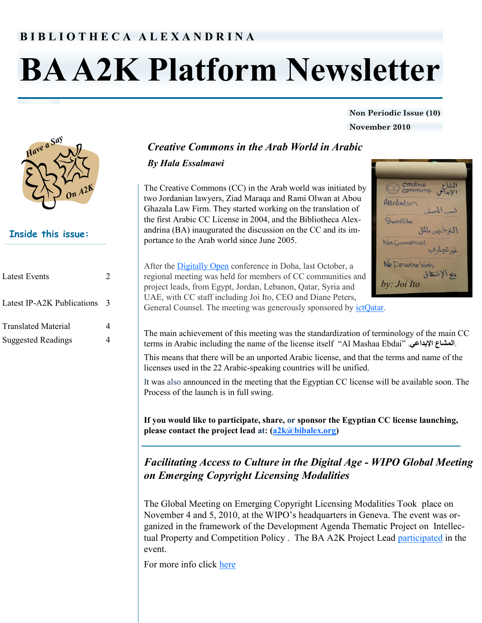# **B I B L I O T H E C A A L E X A N D R I N A**

# **BA A2K Platform Newsletter**

#### **Non Periodic Issue (10) November 2010**



# **Inside this issue:**

| <b>Latest Events</b>                                    | $\mathcal{D}_{\mathcal{L}}$ |
|---------------------------------------------------------|-----------------------------|
| Latest IP-A2K Publications                              | 3                           |
| <b>Translated Material</b><br><b>Suggested Readings</b> | 4                           |

# *Creative Commons in the Arab World in Arabic*

### *By Hala Essalmawi*

The Creative Commons (CC) in the Arab world was initiated by two Jordanian lawyers, Ziad Maraqa and Rami Olwan at Abou Ghazala Law Firm. They started working on the translation of the first Arabic CC License in 2004, and the Bibliotheca Alexandrina (BA) inaugurated the discussion on the CC and its importance to the Arab world since June 2005.

After the [Digitally Open](http://creativecommons.org/weblog/entry/24141) conference in Doha, last October, a regional meeting was held for members of CC communities and project leads, from Egypt, Jordan, Lebanon, Qatar, Syria and UAE, with CC staff including Joi Ito, CEO and Diane Peters, General Counsel. The meeting was generously sponsored by [ictQatar.](http://www.ict.gov.qa/output/Page2.asp)

ShareAlike Von-Commercia No Derivative Work *by: Joi Ito*

creative

C Créative

Attribution

 $-13.11$ 

The main achievement of this meeting was the standardization of terminology of the main CC terms in Arabic including the name of the license itself "Al Mashaa Ebdai" .**اإلبداعي المشاع**.

This means that there will be an unported Arabic license, and that the terms and name of the licenses used in the 22 Arabic-speaking countries will be unified.

It was also announced in the meeting that the Egyptian CC license will be available soon. The Process of the launch is in full swing.

**If you would like to participate, share, or sponsor the Egyptian CC license launching, please contact the project lead at: ([a2k@bibalex.org\)](mailto:a2k@bibalex.org)** 

# *Facilitating Access to Culture in the Digital Age - WIPO Global Meeting on Emerging Copyright Licensing Modalities*

The Global Meeting on Emerging Copyright Licensing Modalities Took place on November 4 and 5, 2010, at the WIPO's headquarters in Geneva. The event was organized in the framework of the Development Agenda Thematic Project on Intellectual Property and Competition Policy . The BA A2K Project Lead [participated](http://www.wipo.int/meetings/en/2010/wipo_cr_lic_ge_10/program.html) in the event.

For more info click [here](http://www.wipo.int/meetings/en/2010/wipo_cr_lic_ge_10/index.html)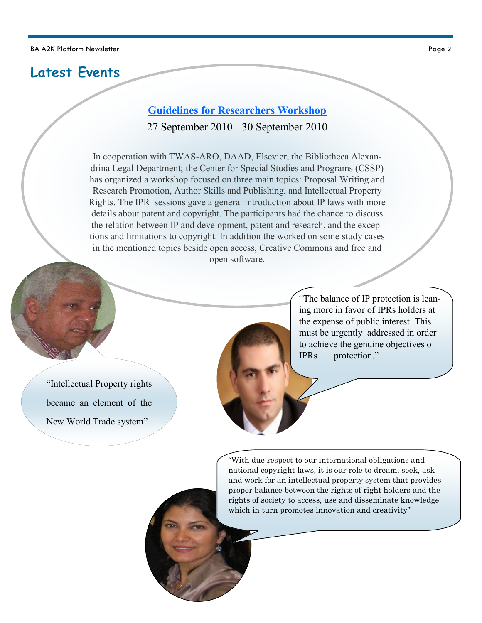# **Latest Events**

# **[Guidelines for Researchers Workshop](http://www.bibalex.org/a2k/attachments/BAEvents/Center%20for%20Special%20Studies%20and%20Programs,%20Events_2.mht)**

27 September 2010 - 30 September 2010

In cooperation with TWAS-ARO, DAAD, Elsevier, the Bibliotheca Alexandrina Legal Department; the Center for Special Studies and Programs (CSSP) has organized a workshop focused on three main topics: Proposal Writing and Research Promotion, Author Skills and Publishing, and Intellectual Property Rights. The IPR sessions gave a general introduction about IP laws with more details about patent and copyright. The participants had the chance to discuss the relation between IP and development, patent and research, and the exceptions and limitations to copyright. In addition the worked on some study cases in the mentioned topics beside open access, Creative Commons and free and open software.

"Intellectual Property rights [became an element of the](http://www.bibalex.org/CSSP/Presentations/Attachments/IP An Incentive or Barrier/play.htm)  New World Trade system"



["The balance of IP protection is lean](http://www.bibalex.org/CSSP/Presentations/Attachments/IP Definitions/play.htm)ing more in favor of IPRs holders at the expense of public interest. This [mus](http://www.bibalex.org/CSSP/Speakers/SpeakersDetails.aspx?ID=178)t be urgently addressed in order to achieve the genuine objectives of IPRs protection."

"With due respect to our international obligations and national copyright laws, it is our role to dream, seek, ask [and work for an intellectual property system that provides](http://www.bibalex.org/CSSP/Presentations/Attachments/Options and alternatives to Access and Disseminate Knowledge/play.htm)  proper balance between the rights of right holders and the [rights](http://www.bibalex.org/CSSP/Speakers/SpeakersDetails.aspx?ID=179) of society to access, use and disseminate knowledge which in turn promotes innovation and creativity"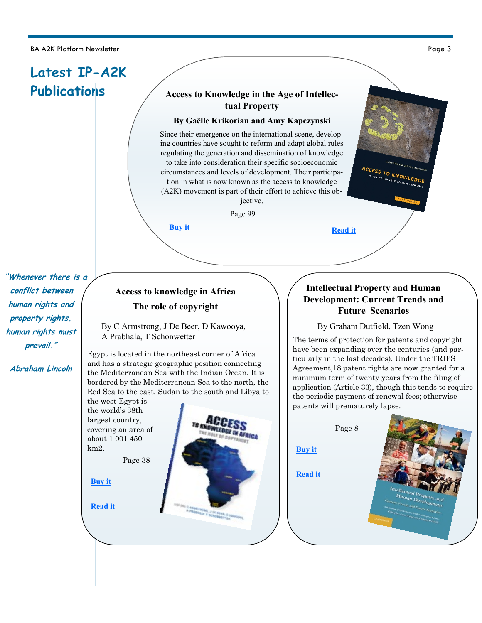BA A2K Platform Newsletter

# **Access to Knowledge in the Age of Intellectual Property**

#### **By Gaëlle Krikorian and Amy Kapczynski**

Since their emergence on the international scene, developing countries have sought to reform and adapt global rules regulating the generation and dissemination of knowledge to take into consideration their specific socioeconomic circumstances and levels of development. Their participation in what is now known as the access to knowledge (A2K) movement is part of their effort to achieve this objective.

Page 99

**IN AFRICA** 

**"Whenever there is a conflict between human rights and property rights, human rights must prevail."**

**Abraham Lincoln**

# **Access to knowledge in Africa The role of copyright**

**[Buy it](http://www.amazon.com/Access-Knowledge-Age-Intellectual-Property/dp/189095196X)** 

By C Armstrong, J De Beer, D Kawooya, A Prabhala, T Schonwetter

Egypt is located in the northeast corner of Africa and has a strategic geographic position connecting the Mediterranean Sea with the Indian Ocean. It is bordered by the Mediterranean Sea to the north, the Red Sea to the east, Sudan to the south and Libya to

the west Egypt is the world's 38th largest country, covering an area of about 1 001 450 km2.

Page 38

**[Buy it](http://www.amazon.com/Access-Knowledge-Africa-Role-Copyright/dp/1919895450/ref=sr_1_fkmr0_1?ie=UTF8&qid=1290600886&sr=8-1-fkmr0)** 

**[Read it](http://www.aca2k.org/attachments/281_ACA2K-2010-Access%20to%20knowledge%20in%20Africa-s.pdf)** 

# **Intellectual Property and Human Development: Current Trends and Future Scenarios**

**[Read it](http://www.soros.org/initiatives/information/focus/access/articles_publications/publications/age-of-intellectual-property-20101110/age-of-intellectual-property-20101110.pdf)** 

#### By Graham Dutfield, Tzen Wong

**ACCESS TO KNOWLEDGE**<br>IN THE AGE OF INTELLECTUAL PROBLEM

The terms of protection for patents and copyright have been expanding over the centuries (and particularly in the last decades). Under the TRIPS Agreement,18 patent rights are now granted for a minimum term of twenty years from the filing of application (Article 33), though this tends to require the periodic payment of renewal fees; otherwise patents will prematurely lapse.



Page 3